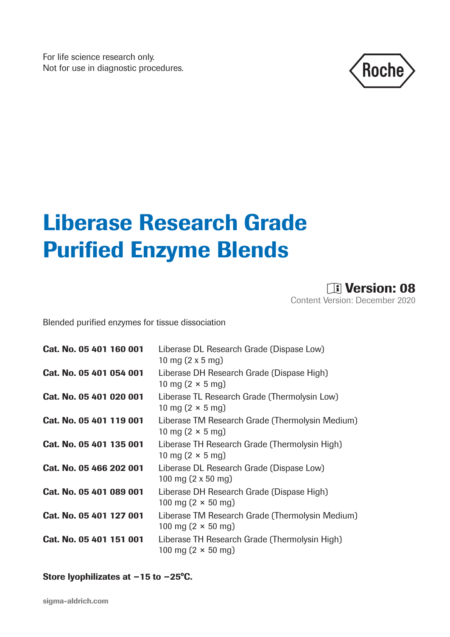For life science research only. Not for use in diagnostic procedures.



# Liberase Research Grade Purified Enzyme Blends

**DE Version: 08** Content Version: December 2020

Blended purified enzymes for tissue dissociation

| Cat. No. 05 401 160 001 | Liberase DL Research Grade (Dispase Low)<br>10 mg (2 x 5 mg)                         |
|-------------------------|--------------------------------------------------------------------------------------|
| Cat. No. 05 401 054 001 | Liberase DH Research Grade (Dispase High)<br>10 mg $(2 \times 5 \text{ mg})$         |
| Cat. No. 05 401 020 001 | Liberase TL Research Grade (Thermolysin Low)<br>10 mg $(2 \times 5 \text{ mg})$      |
| Cat. No. 05 401 119 001 | Liberase TM Research Grade (Thermolysin Medium)<br>10 mg $(2 \times 5$ mg)           |
| Cat. No. 05 401 135 001 | Liberase TH Research Grade (Thermolysin High)<br>10 mg $(2 \times 5 \text{ mg})$     |
| Cat. No. 05 466 202 001 | Liberase DL Research Grade (Dispase Low)<br>100 mg $(2 \times 50 \text{ mg})$        |
| Cat. No. 05 401 089 001 | Liberase DH Research Grade (Dispase High)<br>100 mg $(2 \times 50 \text{ mg})$       |
| Cat. No. 05 401 127 001 | Liberase TM Research Grade (Thermolysin Medium)<br>100 mg $(2 \times 50 \text{ mg})$ |
| Cat. No. 05 401 151 001 | Liberase TH Research Grade (Thermolysin High)<br>100 mg $(2 \times 50 \text{ mg})$   |

Store lyophilizates at −15 to −25°C.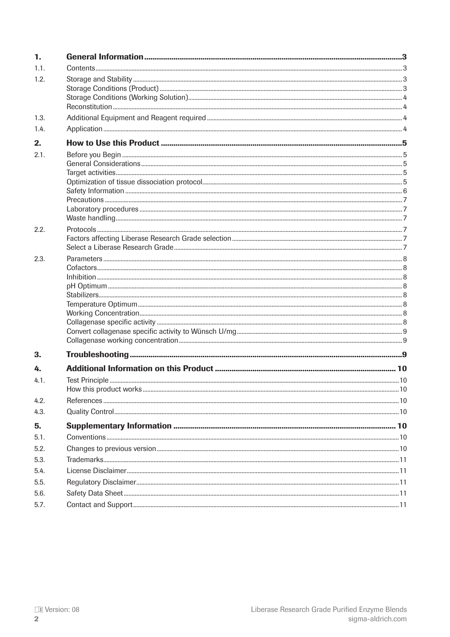| 1.           |  |
|--------------|--|
| 1.1.         |  |
| 1.2.         |  |
|              |  |
|              |  |
| 1.3.         |  |
| 1.4.         |  |
| 2.           |  |
| 2.1.         |  |
|              |  |
|              |  |
|              |  |
|              |  |
|              |  |
|              |  |
| 2.2.         |  |
|              |  |
|              |  |
| 2.3.         |  |
|              |  |
|              |  |
|              |  |
|              |  |
|              |  |
|              |  |
|              |  |
|              |  |
| 3.           |  |
| 4.           |  |
| 4.1.         |  |
|              |  |
| 4.2.<br>4.3. |  |
|              |  |
| 5.           |  |
| 5.1.         |  |
| 5.2.         |  |
| 5.3.         |  |
| 5.4.         |  |
| 5.5.         |  |
| 5.6.         |  |
| 5.7.         |  |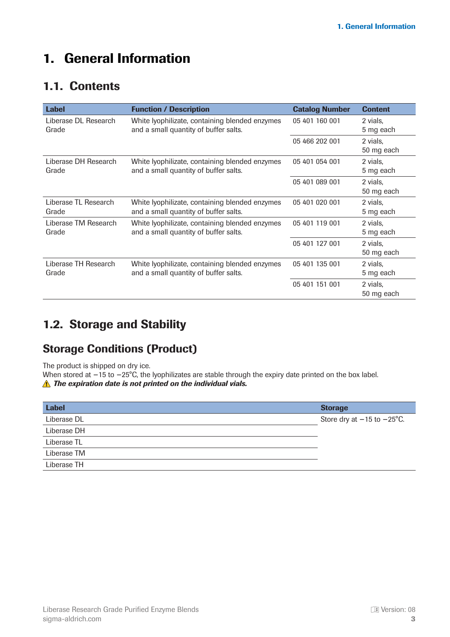# <span id="page-2-0"></span>1. General Information

### 1.1. Contents

| <b>Label</b>         | <b>Function / Description</b>                  | <b>Catalog Number</b> | <b>Content</b> |
|----------------------|------------------------------------------------|-----------------------|----------------|
| Liberase DL Research | White Iyophilizate, containing blended enzymes | 05 401 160 001        | 2 vials,       |
| Grade                | and a small quantity of buffer salts.          |                       | 5 mg each      |
|                      |                                                | 05 466 202 001        | 2 vials,       |
|                      |                                                |                       | 50 mg each     |
| Liberase DH Research | White lyophilizate, containing blended enzymes | 05 401 054 001        | 2 vials.       |
| Grade                | and a small quantity of buffer salts.          |                       | 5 mg each      |
|                      |                                                | 05 401 089 001        | 2 vials.       |
|                      |                                                |                       | 50 mg each     |
| Liberase TL Research | White lyophilizate, containing blended enzymes | 05 401 020 001        | 2 vials.       |
| Grade                | and a small quantity of buffer salts.          |                       | 5 mg each      |
| Liberase TM Research | White Iyophilizate, containing blended enzymes | 05 401 119 001        | 2 vials,       |
| Grade                | and a small quantity of buffer salts.          |                       | 5 mg each      |
|                      |                                                | 05 401 127 001        | 2 vials,       |
|                      |                                                |                       | 50 mg each     |
| Liberase TH Research | White Iyophilizate, containing blended enzymes | 05 401 135 001        | 2 vials,       |
| Grade                | and a small quantity of buffer salts.          |                       | 5 mg each      |
|                      |                                                | 05 401 151 001        | 2 vials,       |
|                      |                                                |                       | 50 mg each     |

### 1.2. Storage and Stability

### Storage Conditions (Product)

The product is shipped on dry ice.

When stored at −15 to −25°C, the lyophilizates are stable through the expiry date printed on the box label. *A* The expiration date is not printed on the individual vials.

| <b>Label</b> | <b>Storage</b>                         |
|--------------|----------------------------------------|
| Liberase DL  | Store dry at $-15$ to $-25^{\circ}$ C. |
| Liberase DH  |                                        |
| Liberase TL  |                                        |
| Liberase TM  |                                        |
| Liberase TH  |                                        |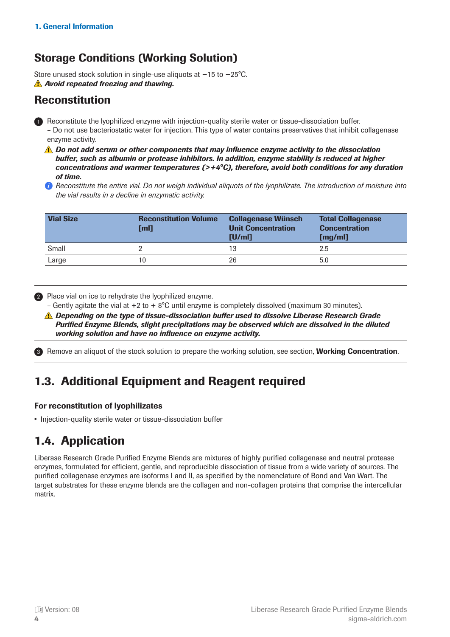### <span id="page-3-0"></span>Storage Conditions (Working Solution)

Store unused stock solution in single-use aliquots at −15 to −25°C. *Avoid repeated freezing and thawing.*

#### Reconstitution

- **Reconstitute the lyophilized enzyme with injection-quality sterile water or tissue-dissociation buffer.** – Do not use bacteriostatic water for injection. This type of water contains preservatives that inhibit collagenase enzyme activity.
	- *A* Do not add serum or other components that may influence enzyme activity to the dissociation *buffer, such as albumin or protease inhibitors. In addition, enzyme stability is reduced at higher concentrations and warmer temperatures (>+4°C), therefore, avoid both conditions for any duration of time.*
	- *Reconstitute the entire vial. Do not weigh individual aliquots of the lyophilizate. The introduction of moisture into the vial results in a decline in enzymatic activity.*

| <b>Vial Size</b> | <b>Reconstitution Volume</b><br>[ml] | <b>Collagenase Wünsch</b><br><b>Unit Concentration</b><br>[U/ml] | <b>Total Collagenase</b><br><b>Concentration</b><br>[mg/ml] |
|------------------|--------------------------------------|------------------------------------------------------------------|-------------------------------------------------------------|
| Small            |                                      | 13                                                               | 2.5                                                         |
| Large            | 10                                   | 26                                                               | 5.0                                                         |

2 Place vial on ice to rehydrate the lyophilized enzyme.

- Gently agitate the vial at  $+2$  to  $+8^{\circ}$ C until enzyme is completely dissolved (maximum 30 minutes).
- *Depending on the type of tissue-dissociation buffer used to dissolve Liberase Research Grade Purified Enzyme Blends, slight precipitations may be observed which are dissolved in the diluted working solution and have no influence on enzyme activity.*

3) Remove an aliquot of the stock solution to prepare the working solution, see section, Working Concentration.

# 1.3. Additional Equipment and Reagent required

#### For reconstitution of lyophilizates

• Injection-quality sterile water or tissue-dissociation buffer

# 1.4. Application

Liberase Research Grade Purified Enzyme Blends are mixtures of highly purified collagenase and neutral protease enzymes, formulated for efficient, gentle, and reproducible dissociation of tissue from a wide variety of sources. The purified collagenase enzymes are isoforms I and II, as specified by the nomenclature of Bond and Van Wart. The target substrates for these enzyme blends are the collagen and non-collagen proteins that comprise the intercellular matrix.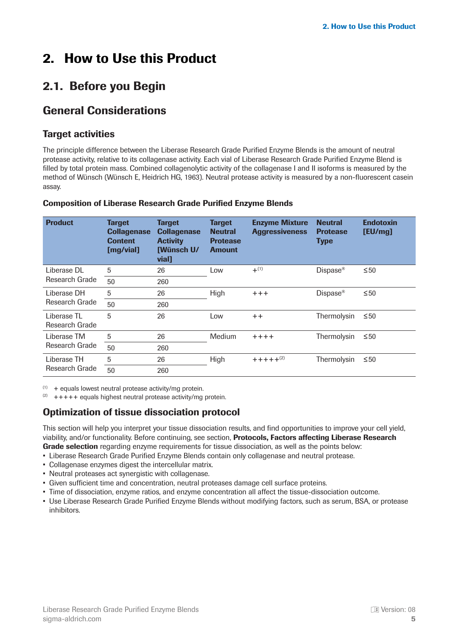# <span id="page-4-0"></span>2. How to Use this Product

# 2.1. Before you Begin

### General Considerations

#### Target activities

The principle difference between the Liberase Research Grade Purified Enzyme Blends is the amount of neutral protease activity, relative to its collagenase activity. Each vial of Liberase Research Grade Purified Enzyme Blend is filled by total protein mass. Combined collagenolytic activity of the collagenase I and II isoforms is measured by the method of Wünsch (Wünsch E, Heidrich HG, 1963). Neutral protease activity is measured by a non-fluorescent casein assay.

| <b>Product</b>                 | <b>Target</b><br><b>Collagenase</b><br><b>Content</b><br>[mg/vial] | <b>Target</b><br><b>Collagenase</b><br><b>Activity</b><br><b>[Wünsch U/</b><br>vial <sub>1</sub> | <b>Target</b><br><b>Neutral</b><br><b>Protease</b><br><b>Amount</b> | <b>Enzyme Mixture</b><br><b>Aggressiveness</b> | <b>Neutral</b><br><b>Protease</b><br><b>Type</b> | <b>Endotoxin</b><br>[EU/mg] |
|--------------------------------|--------------------------------------------------------------------|--------------------------------------------------------------------------------------------------|---------------------------------------------------------------------|------------------------------------------------|--------------------------------------------------|-----------------------------|
| Liberase DL                    | 5                                                                  | 26                                                                                               | Low                                                                 | $+^{(1)}$                                      | Dispace <sup>®</sup>                             | $\leq 50$                   |
| Research Grade                 | 50                                                                 | 260                                                                                              |                                                                     |                                                |                                                  |                             |
| I iberase DH<br>Research Grade | 5                                                                  | 26                                                                                               | High                                                                | $+++$                                          | Dispace <sup>®</sup>                             | $\leq 50$                   |
|                                | 50                                                                 | 260                                                                                              |                                                                     |                                                |                                                  |                             |
| I iberase TI<br>Research Grade | 5                                                                  | 26                                                                                               | Low                                                                 | $++$                                           | Thermolysin                                      | $\leq 50$                   |
| I iberase TM<br>Research Grade | 5                                                                  | 26                                                                                               | <b>Medium</b>                                                       | $++++$                                         | Thermolysin                                      | $\leq 50$                   |
|                                | 50                                                                 | 260                                                                                              |                                                                     |                                                |                                                  |                             |
| Liberase TH<br>Research Grade  | 5                                                                  | 26                                                                                               | High                                                                | $+ + + + +$ <sup>(2)</sup>                     | Thermolysin                                      | $\leq 50$                   |
|                                | 50                                                                 | 260                                                                                              |                                                                     |                                                |                                                  |                             |

#### Composition of Liberase Research Grade Purified Enzyme Blends

 $(1)$  + equals lowest neutral protease activity/mg protein.

 $(2)$  +++++ equals highest neutral protease activity/mg protein.

#### Optimization of tissue dissociation protocol

This section will help you interpret your tissue dissociation results, and find opportunities to improve your cell yield, viability, and/or functionality. Before continuing, see section, **Protocols, Factors affecting Liberase Research** Grade selection regarding enzyme requirements for tissue dissociation, as well as the points below:

- Liberase Research Grade Purified Enzyme Blends contain only collagenase and neutral protease.
- Collagenase enzymes digest the intercellular matrix.
- Neutral proteases act synergistic with collagenase.
- Given sufficient time and concentration, neutral proteases damage cell surface proteins.
- Time of dissociation, enzyme ratios, and enzyme concentration all affect the tissue-dissociation outcome.
- Use Liberase Research Grade Purified Enzyme Blends without modifying factors, such as serum, BSA, or protease inhibitors.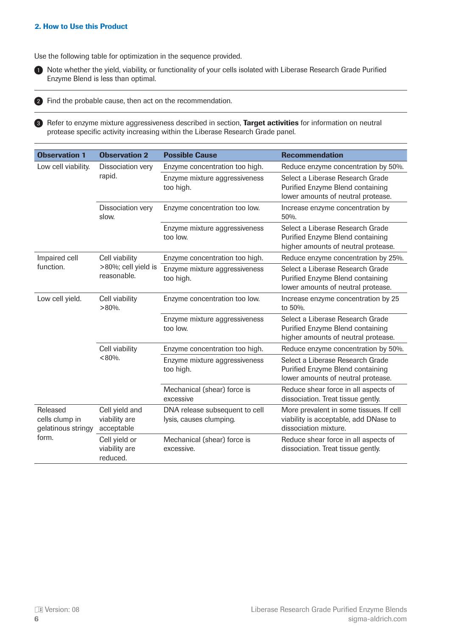#### <span id="page-5-0"></span>2. How to Use this Product

Use the following table for optimization in the sequence provided.



**1** Note whether the yield, viability, or functionality of your cells isolated with Liberase Research Grade Purified Enzyme Blend is less than optimal.  

2) Find the probable cause, then act on the recommendation.

3) Refer to enzyme mixture aggressiveness described in section, Target activities for information on neutral protease specific activity increasing within the Liberase Research Grade panel.  

| <b>Observation 1</b>                                      | <b>Observation 2</b>                          | <b>Possible Cause</b>                                     | <b>Recommendation</b>                                                                                       |
|-----------------------------------------------------------|-----------------------------------------------|-----------------------------------------------------------|-------------------------------------------------------------------------------------------------------------|
| Low cell viability.                                       | Dissociation very                             | Enzyme concentration too high.                            | Reduce enzyme concentration by 50%.                                                                         |
|                                                           | rapid.                                        | Enzyme mixture aggressiveness<br>too high.                | Select a Liberase Research Grade<br>Purified Enzyme Blend containing<br>lower amounts of neutral protease.  |
|                                                           | Dissociation very<br>slow.                    | Enzyme concentration too low.                             | Increase enzyme concentration by<br>50%.                                                                    |
|                                                           |                                               | Enzyme mixture aggressiveness<br>too low.                 | Select a Liberase Research Grade<br>Purified Enzyme Blend containing<br>higher amounts of neutral protease. |
| Impaired cell                                             | Cell viability                                | Enzyme concentration too high.                            | Reduce enzyme concentration by 25%.                                                                         |
| function.                                                 | >80%; cell yield is<br>reasonable.            | Enzyme mixture aggressiveness<br>too high.                | Select a Liberase Research Grade<br>Purified Enzyme Blend containing<br>lower amounts of neutral protease.  |
| Low cell yield.                                           | Cell viability<br>$>80\%$ .                   | Enzyme concentration too low.                             | Increase enzyme concentration by 25<br>to 50%.                                                              |
|                                                           |                                               | Enzyme mixture aggressiveness<br>too low.                 | Select a Liberase Research Grade<br>Purified Enzyme Blend containing<br>higher amounts of neutral protease. |
|                                                           | Cell viability                                | Enzyme concentration too high.                            | Reduce enzyme concentration by 50%.                                                                         |
|                                                           | $< 80\%$ .                                    | Enzyme mixture aggressiveness<br>too high.                | Select a Liberase Research Grade<br>Purified Enzyme Blend containing<br>lower amounts of neutral protease.  |
|                                                           |                                               | Mechanical (shear) force is<br>excessive                  | Reduce shear force in all aspects of<br>dissociation. Treat tissue gently.                                  |
| Released<br>cells clump in<br>gelatinous stringy<br>form. | Cell yield and<br>viability are<br>acceptable | DNA release subsequent to cell<br>lysis, causes clumping. | More prevalent in some tissues. If cell<br>viability is acceptable, add DNase to<br>dissociation mixture.   |
|                                                           | Cell yield or<br>viability are<br>reduced.    | Mechanical (shear) force is<br>excessive.                 | Reduce shear force in all aspects of<br>dissociation. Treat tissue gently.                                  |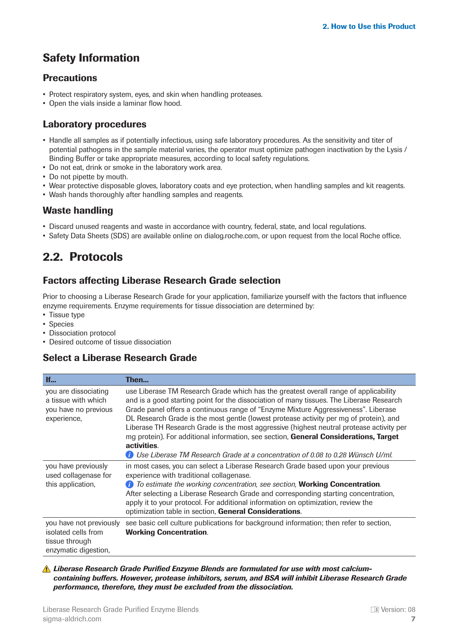# <span id="page-6-0"></span>Safety Information

#### **Precautions**

- Protect respiratory system, eyes, and skin when handling proteases.
- Open the vials inside a laminar flow hood.

#### Laboratory procedures

- Handle all samples as if potentially infectious, using safe laboratory procedures. As the sensitivity and titer of potential pathogens in the sample material varies, the operator must optimize pathogen inactivation by the Lysis / Binding Buffer or take appropriate measures, according to local safety regulations.
- Do not eat, drink or smoke in the laboratory work area.
- Do not pipette by mouth.
- Wear protective disposable gloves, laboratory coats and eye protection, when handling samples and kit reagents.
- Wash hands thoroughly after handling samples and reagents.

#### Waste handling

- Discard unused reagents and waste in accordance with country, federal, state, and local regulations.
- Safety Data Sheets (SDS) are available online on dialog.roche.com, or upon request from the local Roche office.

# 2.2. Protocols

#### Factors affecting Liberase Research Grade selection

Prior to choosing a Liberase Research Grade for your application, familiarize yourself with the factors that influence enzyme requirements. Enzyme requirements for tissue dissociation are determined by:

- Tissue type
- Species
- Dissociation protocol
- Desired outcome of tissue dissociation

#### Select a Liberase Research Grade

| If                                                                                       | Then                                                                                                                                                                                                                                                                                                                                                                                                                                                                                                                                                                |
|------------------------------------------------------------------------------------------|---------------------------------------------------------------------------------------------------------------------------------------------------------------------------------------------------------------------------------------------------------------------------------------------------------------------------------------------------------------------------------------------------------------------------------------------------------------------------------------------------------------------------------------------------------------------|
| you are dissociating<br>a tissue with which<br>you have no previous<br>experience,       | use Liberase TM Research Grade which has the greatest overall range of applicability<br>and is a good starting point for the dissociation of many tissues. The Liberase Research<br>Grade panel offers a continuous range of "Enzyme Mixture Aggressiveness". Liberase<br>DL Research Grade is the most gentle (lowest protease activity per mg of protein), and<br>Liberase TH Research Grade is the most aggressive (highest neutral protease activity per<br>mg protein). For additional information, see section, General Considerations, Target<br>activities. |
|                                                                                          | Use Liberase TM Research Grade at a concentration of 0.08 to 0.28 Wünsch U/ml.                                                                                                                                                                                                                                                                                                                                                                                                                                                                                      |
| you have previously<br>used collagenase for<br>this application,                         | in most cases, you can select a Liberase Research Grade based upon your previous<br>experience with traditional collagenase.<br>To estimate the working concentration, see section, Working Concentration.<br>Œ<br>After selecting a Liberase Research Grade and corresponding starting concentration,<br>apply it to your protocol. For additional information on optimization, review the<br>optimization table in section, General Considerations.                                                                                                               |
| you have not previously<br>isolated cells from<br>tissue through<br>enzymatic digestion, | see basic cell culture publications for background information; then refer to section,<br><b>Working Concentration.</b>                                                                                                                                                                                                                                                                                                                                                                                                                                             |

*Liberase Research Grade Purified Enzyme Blends are formulated for use with most calciumcontaining buffers. However, protease inhibitors, serum, and BSA will inhibit Liberase Research Grade performance, therefore, they must be excluded from the dissociation.*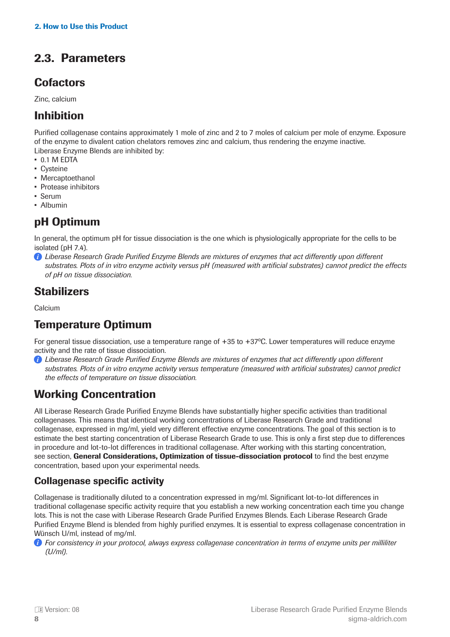# <span id="page-7-0"></span>2.3. Parameters

### **Cofactors**

Zinc, calcium

#### Inhibition

Purified collagenase contains approximately 1 mole of zinc and 2 to 7 moles of calcium per mole of enzyme. Exposure of the enzyme to divalent cation chelators removes zinc and calcium, thus rendering the enzyme inactive. Liberase Enzyme Blends are inhibited by:

- 0.1 M EDTA
- Cysteine
- Mercaptoethanol
- Protease inhibitors
- Serum
- Albumin

### pH Optimum

In general, the optimum pH for tissue dissociation is the one which is physiologically appropriate for the cells to be isolated (pH 7.4).

*Liberase Research Grade Purified Enzyme Blends are mixtures of enzymes that act differently upon different substrates. Plots of in vitro enzyme activity versus pH (measured with artificial substrates) cannot predict the effects of pH on tissue dissociation.*

### **Stabilizers**

Calcium

# Temperature Optimum

For general tissue dissociation, use a temperature range of +35 to +37ºC. Lower temperatures will reduce enzyme activity and the rate of tissue dissociation.

*Liberase Research Grade Purified Enzyme Blends are mixtures of enzymes that act differently upon different substrates. Plots of in vitro enzyme activity versus temperature (measured with artificial substrates) cannot predict the effects of temperature on tissue dissociation.*

### Working Concentration

All Liberase Research Grade Purified Enzyme Blends have substantially higher specific activities than traditional collagenases. This means that identical working concentrations of Liberase Research Grade and traditional collagenase, expressed in mg/ml, yield very different effective enzyme concentrations. The goal of this section is to estimate the best starting concentration of Liberase Research Grade to use. This is only a first step due to differences in procedure and lot-to-lot differences in traditional collagenase. After working with this starting concentration, see section. General Considerations, Optimization of tissue-dissociation protocol to find the best enzyme concentration, based upon your experimental needs.

#### Collagenase specific activity

Collagenase is traditionally diluted to a concentration expressed in mg/ml. Significant lot-to-lot differences in traditional collagenase specific activity require that you establish a new working concentration each time you change lots. This is not the case with Liberase Research Grade Purified Enzymes Blends. Each Liberase Research Grade Purified Enzyme Blend is blended from highly purified enzymes. It is essential to express collagenase concentration in Wünsch U/ml, instead of mg/ml.

*For consistency in your protocol, always express collagenase concentration in terms of enzyme units per milliliter (U/ml).*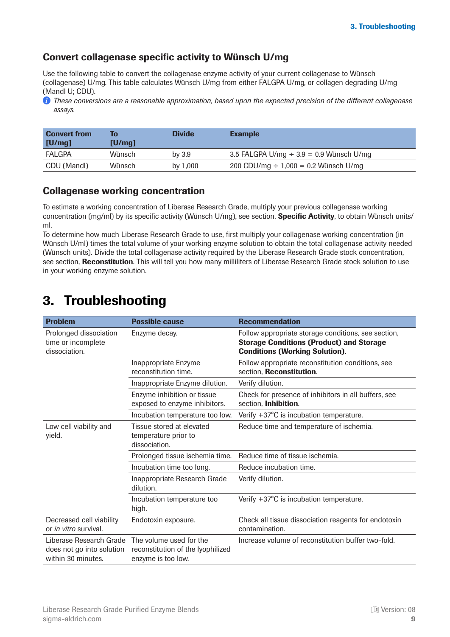#### <span id="page-8-0"></span>Convert collagenase specific activity to Wünsch U/mg

Use the following table to convert the collagenase enzyme activity of your current collagenase to Wünsch (collagenase) U/mg. This table calculates Wünsch U/mg from either FALGPA U/mg, or collagen degrading U/mg (Mandl U; CDU).

*These conversions are a reasonable approximation, based upon the expected precision of the different collagenase assays.* 

| <b>Convert from</b><br>[U/mg] | To<br>[U/mol] | <b>Divide</b> | <b>Example</b>                               |
|-------------------------------|---------------|---------------|----------------------------------------------|
| <b>FALGPA</b>                 | Wünsch        | by $3.9$      | 3.5 FALGPA U/mg $\div$ 3.9 = 0.9 Wünsch U/mg |
| CDU (Mandl)                   | Wünsch        | by 1,000      | 200 CDU/mg $\div$ 1,000 = 0.2 Wünsch U/mg    |

#### Collagenase working concentration

To estimate a working concentration of Liberase Research Grade, multiply your previous collagenase working concentration (mg/ml) by its specific activity (Wünsch U/mg), see section, **Specific Activity**, to obtain Wünsch units/ ml.

To determine how much Liberase Research Grade to use, first multiply your collagenase working concentration (in Wünsch U/ml) times the total volume of your working enzyme solution to obtain the total collagenase activity needed (Wünsch units). Divide the total collagenase activity required by the Liberase Research Grade stock concentration, see section, Reconstitution. This will tell you how many milliliters of Liberase Research Grade stock solution to use in your working enzyme solution.

# 3. Troubleshooting

| <b>Problem</b>                                                             | <b>Possible cause</b>                                                              | <b>Recommendation</b>                                                                                                                           |
|----------------------------------------------------------------------------|------------------------------------------------------------------------------------|-------------------------------------------------------------------------------------------------------------------------------------------------|
| Prolonged dissociation<br>time or incomplete<br>dissociation.              | Enzyme decay.                                                                      | Follow appropriate storage conditions, see section,<br><b>Storage Conditions (Product) and Storage</b><br><b>Conditions (Working Solution).</b> |
|                                                                            | Inappropriate Enzyme<br>reconstitution time.                                       | Follow appropriate reconstitution conditions, see<br>section, Reconstitution.                                                                   |
|                                                                            | Inappropriate Enzyme dilution.                                                     | Verify dilution.                                                                                                                                |
|                                                                            | Enzyme inhibition or tissue<br>exposed to enzyme inhibitors.                       | Check for presence of inhibitors in all buffers, see<br>section, Inhibition.                                                                    |
|                                                                            | Incubation temperature too low.                                                    | Verify +37°C is incubation temperature.                                                                                                         |
| Low cell viability and<br>yield.                                           | Tissue stored at elevated<br>temperature prior to<br>dissociation.                 | Reduce time and temperature of ischemia.                                                                                                        |
|                                                                            | Prolonged tissue ischemia time.                                                    | Reduce time of tissue ischemia.                                                                                                                 |
|                                                                            | Incubation time too long.                                                          | Reduce incubation time.                                                                                                                         |
|                                                                            | Inappropriate Research Grade<br>dilution.                                          | Verify dilution.                                                                                                                                |
|                                                                            | Incubation temperature too<br>high.                                                | Verify +37°C is incubation temperature.                                                                                                         |
| Decreased cell viability<br>or <i>in vitro</i> survival.                   | Endotoxin exposure.                                                                | Check all tissue dissociation reagents for endotoxin<br>contamination.                                                                          |
| Liberase Research Grade<br>does not go into solution<br>within 30 minutes. | The volume used for the<br>reconstitution of the lyophilized<br>enzyme is too low. | Increase volume of reconstitution buffer two-fold.                                                                                              |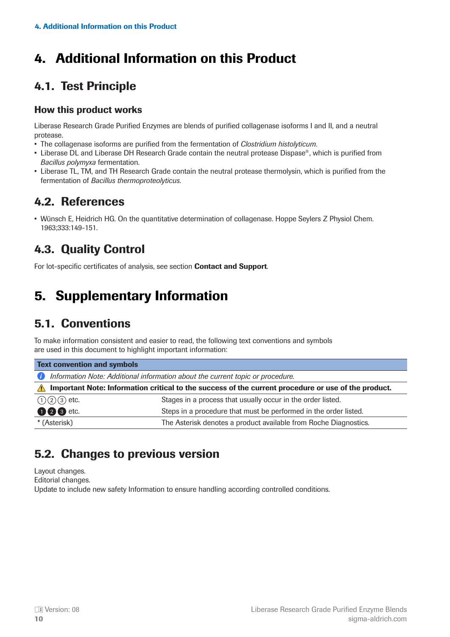# <span id="page-9-0"></span>4. Additional Information on this Product

# 4.1. Test Principle

#### How this product works

Liberase Research Grade Purified Enzymes are blends of purified collagenase isoforms I and II, and a neutral protease.

- The collagenase isoforms are purified from the fermentation of *Clostridium histolyticum*.
- Liberase DL and Liberase DH Research Grade contain the neutral protease Dispase®, which is purified from *Bacillus polymyxa* fermentation.
- Liberase TL, TM, and TH Research Grade contain the neutral protease thermolysin, which is purified from the fermentation of *Bacillus thermoproteolyticus*.

### 4.2. References

• Wünsch E, Heidrich HG. On the quantitative determination of collagenase. Hoppe Seylers Z Physiol Chem. 1963;333:149-151.

# 4.3. Quality Control

For lot-specific certificates of analysis, see section **Contact and Support**.

# 5. Supplementary Information

### 5.1. Conventions

To make information consistent and easier to read, the following text conventions and symbols are used in this document to highlight important information:

| <b>Text convention and symbols</b>                                                                                 |                                                                  |  |
|--------------------------------------------------------------------------------------------------------------------|------------------------------------------------------------------|--|
| Information Note: Additional information about the current topic or procedure.<br>Œ                                |                                                                  |  |
| Important Note: Information critical to the success of the current procedure or use of the product.<br>$\bigwedge$ |                                                                  |  |
| $(1)(2)(3)$ etc.                                                                                                   | Stages in a process that usually occur in the order listed.      |  |
| <b>008</b> etc.                                                                                                    | Steps in a procedure that must be performed in the order listed. |  |
| * (Asterisk)                                                                                                       | The Asterisk denotes a product available from Roche Diagnostics. |  |

### 5.2. Changes to previous version

Layout changes.

Editorial changes.

Update to include new safety Information to ensure handling according controlled conditions.